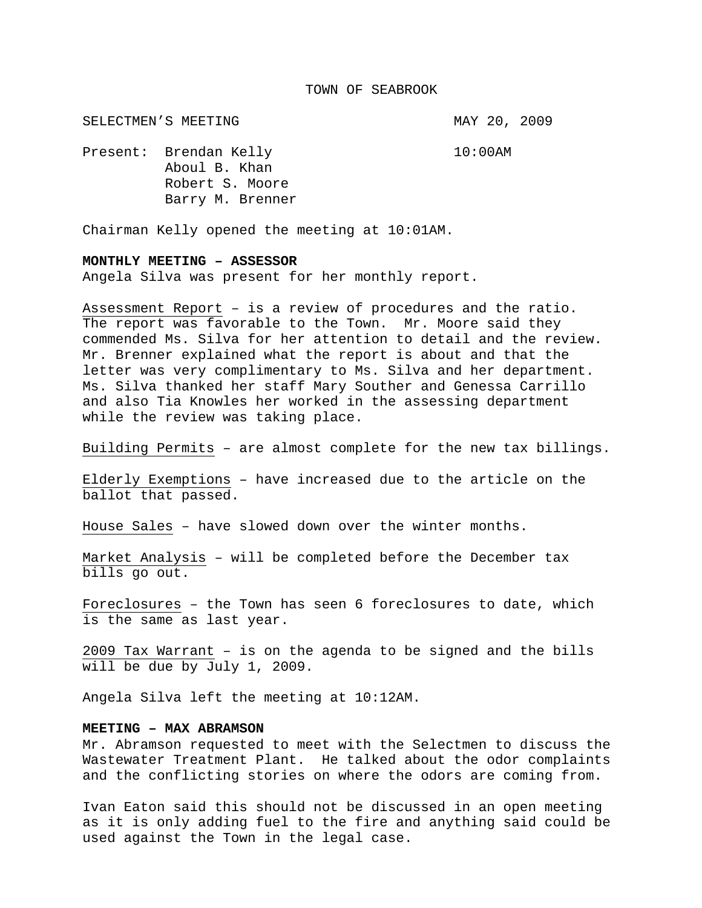#### TOWN OF SEABROOK

SELECTMEN'S MEETING **MAY 20, 2009** 

Present: Brendan Kelly 10:00AM Aboul B. Khan Robert S. Moore Barry M. Brenner

Chairman Kelly opened the meeting at 10:01AM.

# **MONTHLY MEETING – ASSESSOR**

Angela Silva was present for her monthly report.

Assessment Report – is a review of procedures and the ratio. The report was favorable to the Town. Mr. Moore said they commended Ms. Silva for her attention to detail and the review. Mr. Brenner explained what the report is about and that the letter was very complimentary to Ms. Silva and her department. Ms. Silva thanked her staff Mary Souther and Genessa Carrillo and also Tia Knowles her worked in the assessing department while the review was taking place.

Building Permits – are almost complete for the new tax billings.

Elderly Exemptions – have increased due to the article on the ballot that passed.

House Sales – have slowed down over the winter months.

Market Analysis – will be completed before the December tax bills go out.

Foreclosures – the Town has seen 6 foreclosures to date, which is the same as last year.

2009 Tax Warrant – is on the agenda to be signed and the bills will be due by July 1, 2009.

Angela Silva left the meeting at 10:12AM.

# **MEETING – MAX ABRAMSON**

Mr. Abramson requested to meet with the Selectmen to discuss the Wastewater Treatment Plant. He talked about the odor complaints and the conflicting stories on where the odors are coming from.

Ivan Eaton said this should not be discussed in an open meeting as it is only adding fuel to the fire and anything said could be used against the Town in the legal case.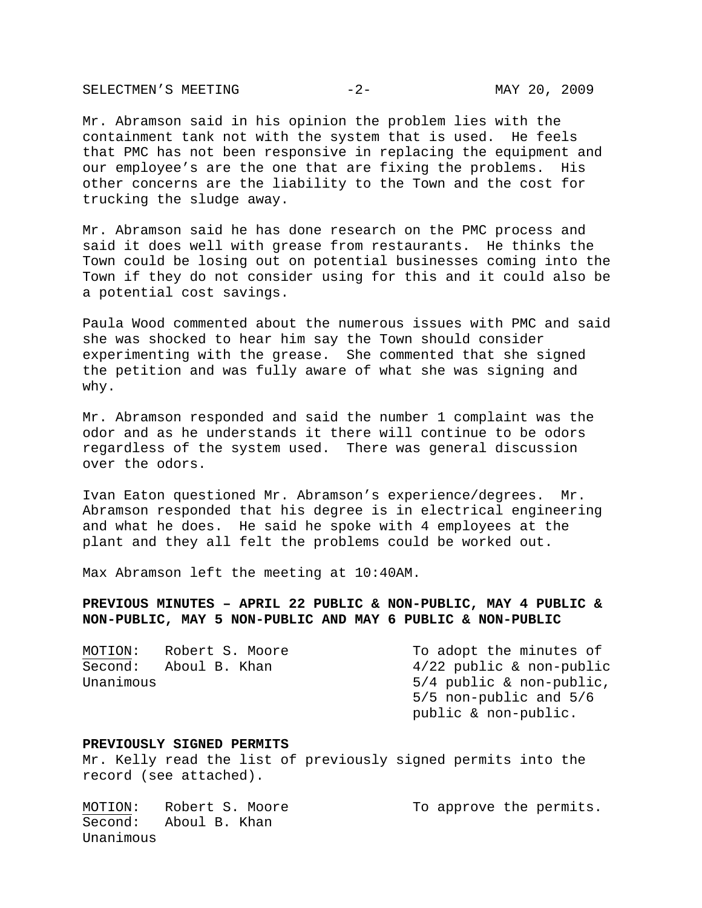SELECTMEN'S MEETING -2- ARR 20, 2009

Mr. Abramson said in his opinion the problem lies with the containment tank not with the system that is used. He feels that PMC has not been responsive in replacing the equipment and our employee's are the one that are fixing the problems. His other concerns are the liability to the Town and the cost for trucking the sludge away.

Mr. Abramson said he has done research on the PMC process and said it does well with grease from restaurants. He thinks the Town could be losing out on potential businesses coming into the Town if they do not consider using for this and it could also be a potential cost savings.

Paula Wood commented about the numerous issues with PMC and said she was shocked to hear him say the Town should consider experimenting with the grease. She commented that she signed the petition and was fully aware of what she was signing and why.

Mr. Abramson responded and said the number 1 complaint was the odor and as he understands it there will continue to be odors regardless of the system used. There was general discussion over the odors.

Ivan Eaton questioned Mr. Abramson's experience/degrees. Mr. Abramson responded that his degree is in electrical engineering and what he does. He said he spoke with 4 employees at the plant and they all felt the problems could be worked out.

Max Abramson left the meeting at 10:40AM.

# **PREVIOUS MINUTES – APRIL 22 PUBLIC & NON-PUBLIC, MAY 4 PUBLIC & NON-PUBLIC, MAY 5 NON-PUBLIC AND MAY 6 PUBLIC & NON-PUBLIC**

| MOTION:   | Robert S. Moore | To adopt the minutes of    |
|-----------|-----------------|----------------------------|
| Second:   | Aboul B. Khan   | $4/22$ public & non-public |
| Unanimous |                 | $5/4$ public & non-public, |
|           |                 | $5/5$ non-public and $5/6$ |
|           |                 | public & non-public.       |

#### **PREVIOUSLY SIGNED PERMITS**

Mr. Kelly read the list of previously signed permits into the record (see attached).

MOTION: Robert S. Moore To approve the permits. Second: Aboul B. Khan Unanimous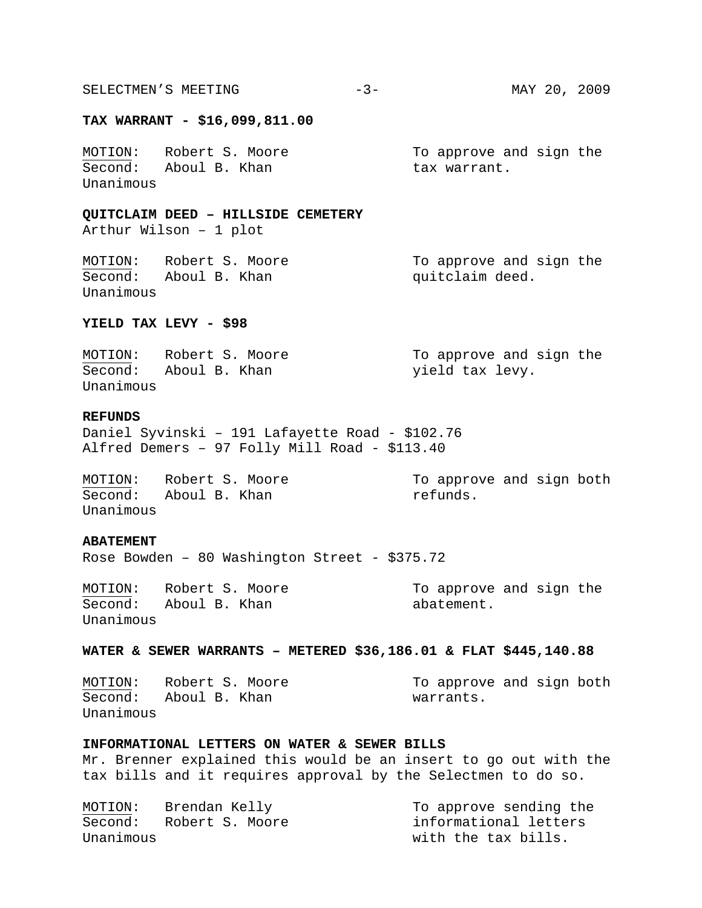#### **TAX WARRANT - \$16,099,811.00**

MOTION: Robert S. Moore To approve and sign the Second: Aboul B. Khan tax warrant. Unanimous

## **QUITCLAIM DEED – HILLSIDE CEMETERY**

Arthur Wilson – 1 plot

MOTION: Robert S. Moore To approve and sign the Second: Aboul B. Khan quitclaim deed. Unanimous

#### **YIELD TAX LEVY - \$98**

| MOTION:   | Robert S. Moore | To approve and sign the |
|-----------|-----------------|-------------------------|
| Second:   | Aboul B. Khan   | yield tax levy.         |
| Unanimous |                 |                         |

# **REFUNDS**

Daniel Syvinski – 191 Lafayette Road - \$102.76 Alfred Demers – 97 Folly Mill Road - \$113.40

MOTION: Robert S. Moore To approve and sign both Second: Aboul B. Khan refunds. Unanimous

**ABATEMENT** 

Rose Bowden – 80 Washington Street - \$375.72

Second: Aboul B. Khan abatement. Unanimous

MOTION: Robert S. Moore To approve and sign the

### **WATER & SEWER WARRANTS – METERED \$36,186.01 & FLAT \$445,140.88**

MOTION: Robert S. Moore To approve and sign both Second: Aboul B. Khan warrants. Unanimous

# **INFORMATIONAL LETTERS ON WATER & SEWER BILLS**

Mr. Brenner explained this would be an insert to go out with the tax bills and it requires approval by the Selectmen to do so.

MOTION: Brendan Kelly To approve sending the Second: Robert S. Moore informational letters Unanimous with the tax bills.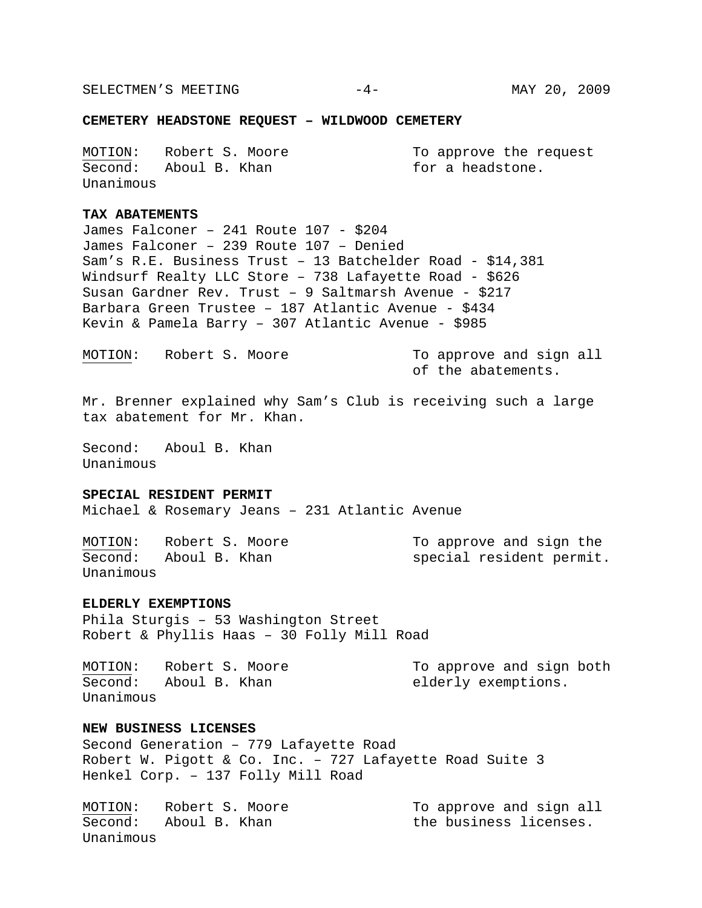SELECTMEN'S MEETING  $-4-$  MAY 20, 2009

#### **CEMETERY HEADSTONE REQUEST – WILDWOOD CEMETERY**

MOTION: Robert S. Moore To approve the request Second: Aboul B. Khan for a headstone. Unanimous

# **TAX ABATEMENTS**

James Falconer – 241 Route 107 - \$204 James Falconer – 239 Route 107 – Denied Sam's R.E. Business Trust – 13 Batchelder Road - \$14,381 Windsurf Realty LLC Store – 738 Lafayette Road - \$626 Susan Gardner Rev. Trust – 9 Saltmarsh Avenue - \$217 Barbara Green Trustee – 187 Atlantic Avenue - \$434 Kevin & Pamela Barry – 307 Atlantic Avenue - \$985

MOTION: Robert S. Moore To approve and sign all

of the abatements.

Mr. Brenner explained why Sam's Club is receiving such a large tax abatement for Mr. Khan.

Second: Aboul B. Khan Unanimous

### **SPECIAL RESIDENT PERMIT**

Michael & Rosemary Jeans – 231 Atlantic Avenue

MOTION: Robert S. Moore To approve and sign the<br>Second: Aboul B. Khan Special resident permit Unanimous

special resident permit.

# **ELDERLY EXEMPTIONS**

Phila Sturgis – 53 Washington Street Robert & Phyllis Haas – 30 Folly Mill Road

MOTION: Robert S. Moore To approve and sign both Second: Aboul B. Khan elderly exemptions. Unanimous

# **NEW BUSINESS LICENSES**

Second Generation – 779 Lafayette Road Robert W. Pigott & Co. Inc. – 727 Lafayette Road Suite 3 Henkel Corp. – 137 Folly Mill Road

MOTION: Robert S. Moore To approve and sign all Second: Aboul B. Khan the business licenses. Unanimous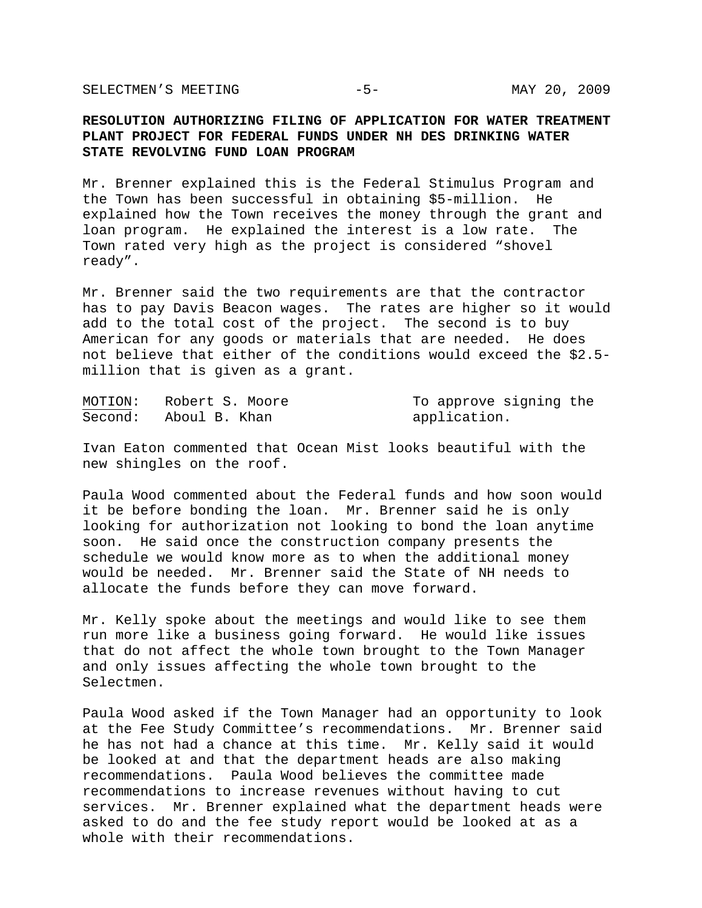SELECTMEN'S MEETING -5- -5- MAY 20, 2009

# **RESOLUTION AUTHORIZING FILING OF APPLICATION FOR WATER TREATMENT PLANT PROJECT FOR FEDERAL FUNDS UNDER NH DES DRINKING WATER STATE REVOLVING FUND LOAN PROGRAM**

Mr. Brenner explained this is the Federal Stimulus Program and the Town has been successful in obtaining \$5-million. He explained how the Town receives the money through the grant and loan program. He explained the interest is a low rate. The Town rated very high as the project is considered "shovel ready".

Mr. Brenner said the two requirements are that the contractor has to pay Davis Beacon wages. The rates are higher so it would add to the total cost of the project. The second is to buy American for any goods or materials that are needed. He does not believe that either of the conditions would exceed the \$2.5 million that is given as a grant.

| MOTION: | Robert S. Moore       | To approve signing the |
|---------|-----------------------|------------------------|
|         | Second: Aboul B. Khan | application.           |

Ivan Eaton commented that Ocean Mist looks beautiful with the new shingles on the roof.

Paula Wood commented about the Federal funds and how soon would it be before bonding the loan. Mr. Brenner said he is only looking for authorization not looking to bond the loan anytime soon. He said once the construction company presents the schedule we would know more as to when the additional money would be needed. Mr. Brenner said the State of NH needs to allocate the funds before they can move forward.

Mr. Kelly spoke about the meetings and would like to see them run more like a business going forward. He would like issues that do not affect the whole town brought to the Town Manager and only issues affecting the whole town brought to the Selectmen.

Paula Wood asked if the Town Manager had an opportunity to look at the Fee Study Committee's recommendations. Mr. Brenner said he has not had a chance at this time. Mr. Kelly said it would be looked at and that the department heads are also making recommendations. Paula Wood believes the committee made recommendations to increase revenues without having to cut services. Mr. Brenner explained what the department heads were asked to do and the fee study report would be looked at as a whole with their recommendations.